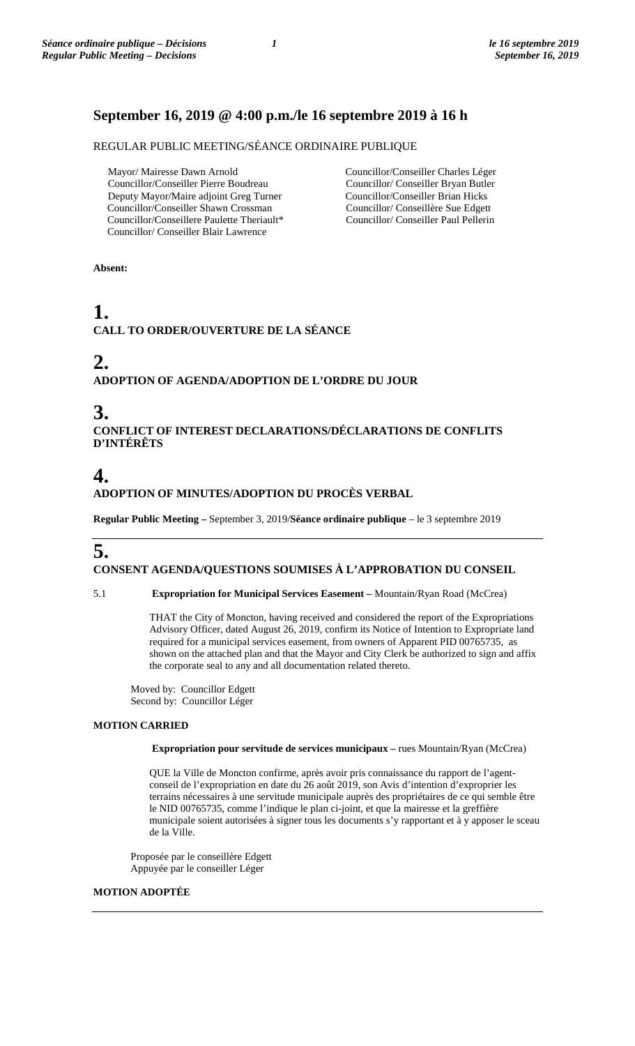### **September 16, 2019 @ 4:00 p.m./le 16 septembre 2019 à 16 h**

REGULAR PUBLIC MEETING/SÉANCE ORDINAIRE PUBLIQUE

 Mayor/ Mairesse Dawn Arnold Councillor/Conseiller Pierre Boudreau Deputy Mayor/Maire adjoint Greg Turner Councillor/Conseiller Shawn Crossman Councillor/Conseillere Paulette Theriault\* Councillor/ Conseiller Blair Lawrence

Councillor/Conseiller Charles Léger Councillor/ Conseiller Bryan Butler Councillor/Conseiller Brian Hicks Councillor/ Conseillère Sue Edgett Councillor/ Conseiller Paul Pellerin

**Absent:**

# **1. CALL TO ORDER/OUVERTURE DE LA SÉANCE**

# **2.**

**ADOPTION OF AGENDA/ADOPTION DE L'ORDRE DU JOUR**

# **3.**

**CONFLICT OF INTEREST DECLARATIONS/DÉCLARATIONS DE CONFLITS D'INTÉRÊTS**

### **4. ADOPTION OF MINUTES/ADOPTION DU PROCÈS VERBAL**

**Regular Public Meeting –** September 3, 2019/**Séance ordinaire publique** – le 3 septembre 2019

### **5. CONSENT AGENDA/QUESTIONS SOUMISES À L'APPROBATION DU CONSEIL**

5.1 **Expropriation for Municipal Services Easement –** Mountain/Ryan Road (McCrea)

THAT the City of Moncton, having received and considered the report of the Expropriations Advisory Officer, dated August 26, 2019, confirm its Notice of Intention to Expropriate land required for a municipal services easement, from owners of Apparent PID 00765735, as shown on the attached plan and that the Mayor and City Clerk be authorized to sign and affix the corporate seal to any and all documentation related thereto.

Moved by: Councillor Edgett Second by: Councillor Léger

#### **MOTION CARRIED**

**Expropriation pour servitude de services municipaux –** rues Mountain/Ryan (McCrea)

QUE la Ville de Moncton confirme, après avoir pris connaissance du rapport de l'agentconseil de l'expropriation en date du 26 août 2019, son Avis d'intention d'exproprier les terrains nécessaires à une servitude municipale auprès des propriétaires de ce qui semble être le NID 00765735, comme l'indique le plan ci-joint, et que la mairesse et la greffière municipale soient autorisées à signer tous les documents s'y rapportant et à y apposer le sceau de la Ville.

Proposée par le conseillère Edgett Appuyée par le conseiller Léger

#### **MOTION ADOPTÉE**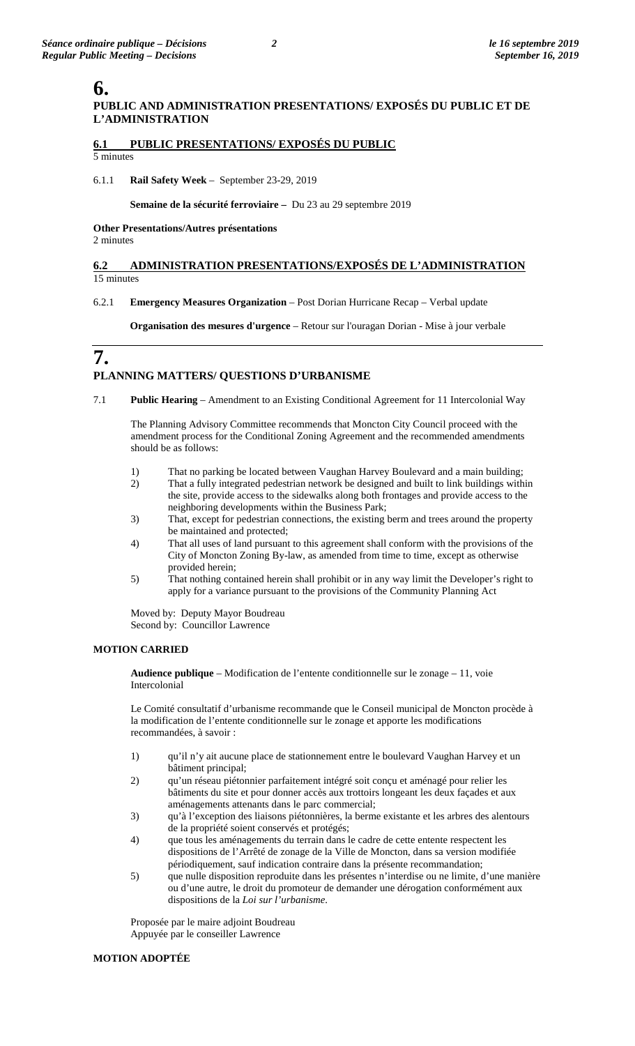### **6.**

### **PUBLIC AND ADMINISTRATION PRESENTATIONS/ EXPOSÉS DU PUBLIC ET DE L'ADMINISTRATION**

#### **6.1 PUBLIC PRESENTATIONS/ EXPOSÉS DU PUBLIC** 5 minutes

#### 6.1.1 **Rail Safety Week** – September 23-29, 2019

#### **Semaine de la sécurité ferroviaire –** Du 23 au 29 septembre 2019

**Other Presentations/Autres présentations**  2 minutes

#### **6.2 ADMINISTRATION PRESENTATIONS/EXPOSÉS DE L'ADMINISTRATION**  15 minutes

#### 6.2.1 **Emergency Measures Organization** – Post Dorian Hurricane Recap – Verbal update

**Organisation des mesures d'urgence** – Retour sur l'ouragan Dorian - Mise à jour verbale

### **7. PLANNING MATTERS/ QUESTIONS D'URBANISME**

7.1 **Public Hearing** – Amendment to an Existing Conditional Agreement for 11 Intercolonial Way

The Planning Advisory Committee recommends that Moncton City Council proceed with the amendment process for the Conditional Zoning Agreement and the recommended amendments should be as follows:

- 1) That no parking be located between Vaughan Harvey Boulevard and a main building;
- 2) That a fully integrated pedestrian network be designed and built to link buildings within the site, provide access to the sidewalks along both frontages and provide access to the neighboring developments within the Business Park;
- 3) That, except for pedestrian connections, the existing berm and trees around the property be maintained and protected;
- 4) That all uses of land pursuant to this agreement shall conform with the provisions of the City of Moncton Zoning By-law, as amended from time to time, except as otherwise provided herein;
- 5) That nothing contained herein shall prohibit or in any way limit the Developer's right to apply for a variance pursuant to the provisions of the Community Planning Act

Moved by: Deputy Mayor Boudreau Second by: Councillor Lawrence

#### **MOTION CARRIED**

**Audience publique** – Modification de l'entente conditionnelle sur le zonage – 11, voie Intercolonial

Le Comité consultatif d'urbanisme recommande que le Conseil municipal de Moncton procède à la modification de l'entente conditionnelle sur le zonage et apporte les modifications recommandées, à savoir :

- 1) qu'il n'y ait aucune place de stationnement entre le boulevard Vaughan Harvey et un bâtiment principal;
- 2) qu'un réseau piétonnier parfaitement intégré soit conçu et aménagé pour relier les bâtiments du site et pour donner accès aux trottoirs longeant les deux façades et aux aménagements attenants dans le parc commercial;
- 3) qu'à l'exception des liaisons piétonnières, la berme existante et les arbres des alentours de la propriété soient conservés et protégés;
- 4) que tous les aménagements du terrain dans le cadre de cette entente respectent les dispositions de l'Arrêté de zonage de la Ville de Moncton, dans sa version modifiée périodiquement, sauf indication contraire dans la présente recommandation;
- 5) que nulle disposition reproduite dans les présentes n'interdise ou ne limite, d'une manière ou d'une autre, le droit du promoteur de demander une dérogation conformément aux dispositions de la *Loi sur l'urbanisme*.

Proposée par le maire adjoint Boudreau Appuyée par le conseiller Lawrence

#### **MOTION ADOPTÉE**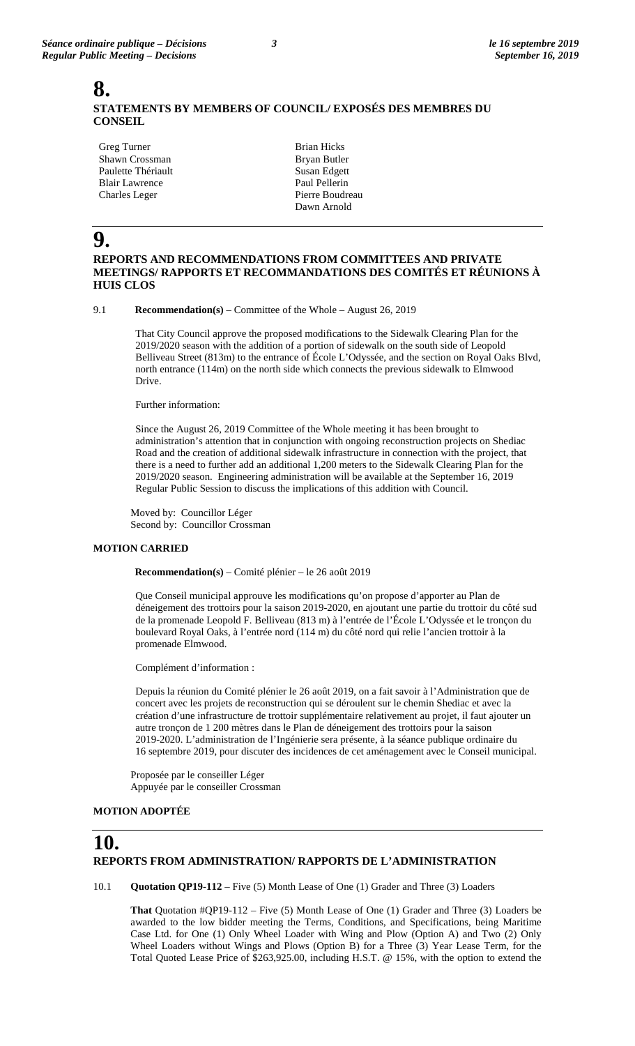### **8. STATEMENTS BY MEMBERS OF COUNCIL/ EXPOSÉS DES MEMBRES DU CONSEIL**

Greg Turner Shawn Crossman Paulette Thériault Blair Lawrence Charles Leger

Brian Hicks Bryan Butler Susan Edgett Paul Pellerin Pierre Boudreau Dawn Arnold

# **9.**

### **REPORTS AND RECOMMENDATIONS FROM COMMITTEES AND PRIVATE MEETINGS/ RAPPORTS ET RECOMMANDATIONS DES COMITÉS ET RÉUNIONS À HUIS CLOS**

9.1 **Recommendation(s)** – Committee of the Whole – August 26, 2019

That City Council approve the proposed modifications to the Sidewalk Clearing Plan for the 2019/2020 season with the addition of a portion of sidewalk on the south side of Leopold Belliveau Street (813m) to the entrance of École L'Odyssée, and the section on Royal Oaks Blvd, north entrance (114m) on the north side which connects the previous sidewalk to Elmwood Drive.

Further information:

Since the August 26, 2019 Committee of the Whole meeting it has been brought to administration's attention that in conjunction with ongoing reconstruction projects on Shediac Road and the creation of additional sidewalk infrastructure in connection with the project, that there is a need to further add an additional 1,200 meters to the Sidewalk Clearing Plan for the 2019/2020 season. Engineering administration will be available at the September 16, 2019 Regular Public Session to discuss the implications of this addition with Council.

Moved by: Councillor Léger Second by: Councillor Crossman

#### **MOTION CARRIED**

 **Recommendation(s)** – Comité plénier – le 26 août 2019

Que Conseil municipal approuve les modifications qu'on propose d'apporter au Plan de déneigement des trottoirs pour la saison 2019-2020, en ajoutant une partie du trottoir du côté sud de la promenade Leopold F. Belliveau (813 m) à l'entrée de l'École L'Odyssée et le tronçon du boulevard Royal Oaks, à l'entrée nord (114 m) du côté nord qui relie l'ancien trottoir à la promenade Elmwood.

Complément d'information :

Depuis la réunion du Comité plénier le 26 août 2019, on a fait savoir à l'Administration que de concert avec les projets de reconstruction qui se déroulent sur le chemin Shediac et avec la création d'une infrastructure de trottoir supplémentaire relativement au projet, il faut ajouter un autre tronçon de 1 200 mètres dans le Plan de déneigement des trottoirs pour la saison 2019-2020. L'administration de l'Ingénierie sera présente, à la séance publique ordinaire du 16 septembre 2019, pour discuter des incidences de cet aménagement avec le Conseil municipal.

Proposée par le conseiller Léger Appuyée par le conseiller Crossman

#### **MOTION ADOPTÉE**

### **10. REPORTS FROM ADMINISTRATION/ RAPPORTS DE L'ADMINISTRATION**

10.1 **Quotation QP19-112** – Five (5) Month Lease of One (1) Grader and Three (3) Loaders

**That** Quotation #QP19-112 – Five (5) Month Lease of One (1) Grader and Three (3) Loaders be awarded to the low bidder meeting the Terms, Conditions, and Specifications, being Maritime Case Ltd. for One (1) Only Wheel Loader with Wing and Plow (Option A) and Two (2) Only Wheel Loaders without Wings and Plows (Option B) for a Three (3) Year Lease Term, for the Total Quoted Lease Price of \$263,925.00, including H.S.T. @ 15%, with the option to extend the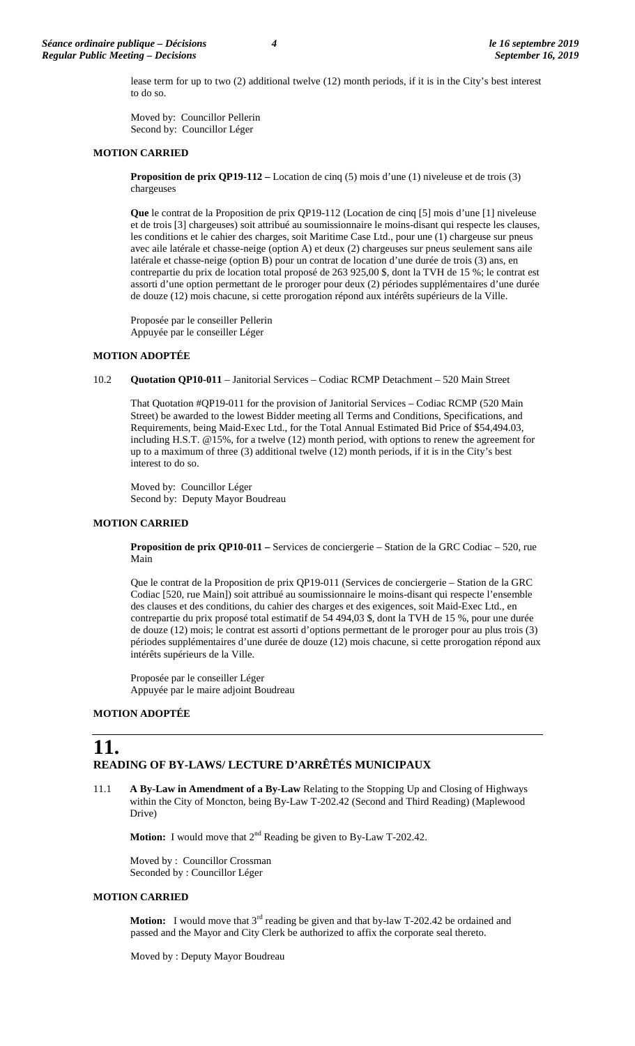lease term for up to two (2) additional twelve (12) month periods, if it is in the City's best interest to do so.

Moved by: Councillor Pellerin Second by: Councillor Léger

#### **MOTION CARRIED**

**Proposition de prix QP19-112 –** Location de cinq (5) mois d'une (1) niveleuse et de trois (3) chargeuses

**Que** le contrat de la Proposition de prix QP19-112 (Location de cinq [5] mois d'une [1] niveleuse et de trois [3] chargeuses) soit attribué au soumissionnaire le moins-disant qui respecte les clauses, les conditions et le cahier des charges, soit Maritime Case Ltd., pour une (1) chargeuse sur pneus avec aile latérale et chasse-neige (option A) et deux (2) chargeuses sur pneus seulement sans aile latérale et chasse-neige (option B) pour un contrat de location d'une durée de trois (3) ans, en contrepartie du prix de location total proposé de 263 925,00 \$, dont la TVH de 15 %; le contrat est assorti d'une option permettant de le proroger pour deux (2) périodes supplémentaires d'une durée de douze (12) mois chacune, si cette prorogation répond aux intérêts supérieurs de la Ville.

Proposée par le conseiller Pellerin Appuyée par le conseiller Léger

#### **MOTION ADOPTÉE**

10.2 **Quotation QP10-011** – Janitorial Services – Codiac RCMP Detachment – 520 Main Street

That Quotation #QP19-011 for the provision of Janitorial Services – Codiac RCMP (520 Main Street) be awarded to the lowest Bidder meeting all Terms and Conditions, Specifications, and Requirements, being Maid-Exec Ltd., for the Total Annual Estimated Bid Price of \$54,494.03, including H.S.T. @15%, for a twelve (12) month period, with options to renew the agreement for up to a maximum of three (3) additional twelve (12) month periods, if it is in the City's best interest to do so.

Moved by: Councillor Léger Second by: Deputy Mayor Boudreau

#### **MOTION CARRIED**

**Proposition de prix QP10-011 –** Services de conciergerie – Station de la GRC Codiac – 520, rue Main

Que le contrat de la Proposition de prix QP19-011 (Services de conciergerie – Station de la GRC Codiac [520, rue Main]) soit attribué au soumissionnaire le moins-disant qui respecte l'ensemble des clauses et des conditions, du cahier des charges et des exigences, soit Maid-Exec Ltd., en contrepartie du prix proposé total estimatif de 54 494,03 \$, dont la TVH de 15 %, pour une durée de douze (12) mois; le contrat est assorti d'options permettant de le proroger pour au plus trois (3) périodes supplémentaires d'une durée de douze (12) mois chacune, si cette prorogation répond aux intérêts supérieurs de la Ville.

Proposée par le conseiller Léger Appuyée par le maire adjoint Boudreau

#### **MOTION ADOPTÉE**

### **11. READING OF BY-LAWS/ LECTURE D'ARRÊTÉS MUNICIPAUX**

11.1 **A By-Law in Amendment of a By-Law** Relating to the Stopping Up and Closing of Highways within the City of Moncton, being By-Law T-202.42 (Second and Third Reading) (Maplewood Drive)

**Motion:** I would move that  $2^{nd}$  Reading be given to By-Law T-202.42.

Moved by : Councillor Crossman Seconded by : Councillor Léger

#### **MOTION CARRIED**

**Motion:** I would move that 3<sup>rd</sup> reading be given and that by-law T-202.42 be ordained and passed and the Mayor and City Clerk be authorized to affix the corporate seal thereto.

Moved by : Deputy Mayor Boudreau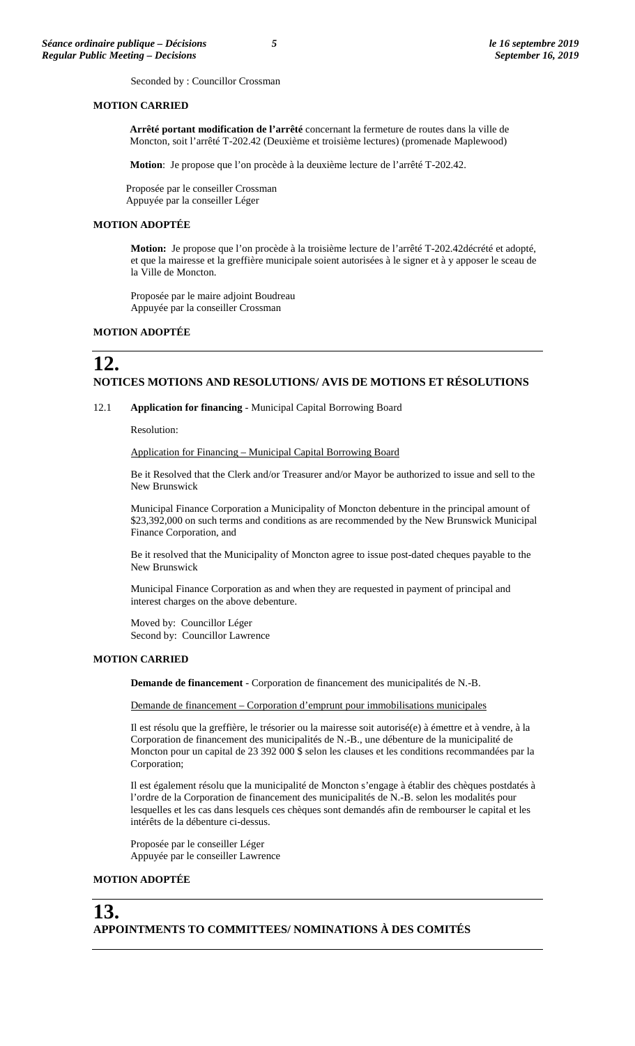Seconded by : Councillor Crossman

#### **MOTION CARRIED**

**Arrêté portant modification de l'arrêté** concernant la fermeture de routes dans la ville de Moncton, soit l'arrêté T-202.42 (Deuxième et troisième lectures) (promenade Maplewood)

**Motion**: Je propose que l'on procède à la deuxième lecture de l'arrêté T-202.42.

Proposée par le conseiller Crossman Appuyée par la conseiller Léger

#### **MOTION ADOPTÉE**

**Motion:** Je propose que l'on procède à la troisième lecture de l'arrêté T-202.42décrété et adopté, et que la mairesse et la greffière municipale soient autorisées à le signer et à y apposer le sceau de la Ville de Moncton.

Proposée par le maire adjoint Boudreau Appuyée par la conseiller Crossman

#### **MOTION ADOPTÉE**

### **12. NOTICES MOTIONS AND RESOLUTIONS/ AVIS DE MOTIONS ET RÉSOLUTIONS**

12.1 **Application for financing** - Municipal Capital Borrowing Board

Resolution:

#### Application for Financing – Municipal Capital Borrowing Board

Be it Resolved that the Clerk and/or Treasurer and/or Mayor be authorized to issue and sell to the New Brunswick

Municipal Finance Corporation a Municipality of Moncton debenture in the principal amount of \$23,392,000 on such terms and conditions as are recommended by the New Brunswick Municipal Finance Corporation, and

Be it resolved that the Municipality of Moncton agree to issue post-dated cheques payable to the New Brunswick

Municipal Finance Corporation as and when they are requested in payment of principal and interest charges on the above debenture.

Moved by: Councillor Léger Second by: Councillor Lawrence

#### **MOTION CARRIED**

**Demande de financement** - Corporation de financement des municipalités de N.-B.

Demande de financement – Corporation d'emprunt pour immobilisations municipales

Il est résolu que la greffière, le trésorier ou la mairesse soit autorisé(e) à émettre et à vendre, à la Corporation de financement des municipalités de N.-B., une débenture de la municipalité de Moncton pour un capital de 23 392 000 \$ selon les clauses et les conditions recommandées par la Corporation;

Il est également résolu que la municipalité de Moncton s'engage à établir des chèques postdatés à l'ordre de la Corporation de financement des municipalités de N.-B. selon les modalités pour lesquelles et les cas dans lesquels ces chèques sont demandés afin de rembourser le capital et les intérêts de la débenture ci-dessus.

Proposée par le conseiller Léger Appuyée par le conseiller Lawrence

#### **MOTION ADOPTÉE**

### **13. APPOINTMENTS TO COMMITTEES/ NOMINATIONS À DES COMITÉS**